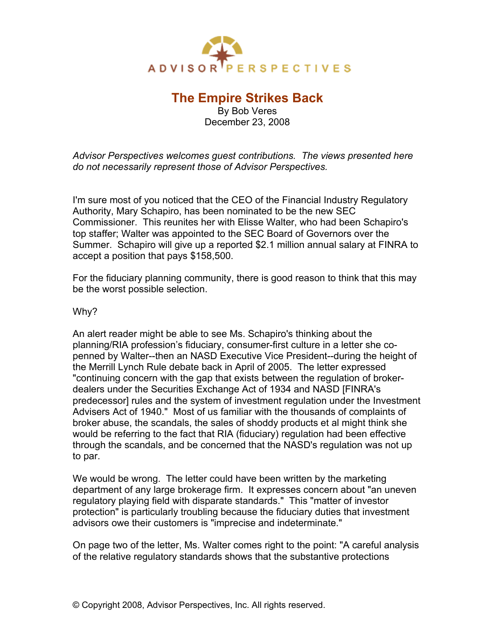

## **The Empire Strikes Back**

By Bob Veres December 23, 2008

*Advisor Perspectives welcomes guest contributions. The views presented here do not necessarily represent those of Advisor Perspectives.*

I'm sure most of you noticed that the CEO of the Financial Industry Regulatory Authority, Mary Schapiro, has been nominated to be the new SEC Commissioner. This reunites her with Elisse Walter, who had been Schapiro's top staffer; Walter was appointed to the SEC Board of Governors over the Summer. Schapiro will give up a reported \$2.1 million annual salary at FINRA to accept a position that pays \$158,500.

For the fiduciary planning community, there is good reason to think that this may be the worst possible selection.

## Why?

An alert reader might be able to see Ms. Schapiro's thinking about the planning/RIA profession's fiduciary, consumer-first culture in a letter she copenned by Walter--then an NASD Executive Vice President--during the height of the Merrill Lynch Rule debate back in April of 2005. The letter expressed "continuing concern with the gap that exists between the regulation of brokerdealers under the Securities Exchange Act of 1934 and NASD [FINRA's predecessor] rules and the system of investment regulation under the Investment Advisers Act of 1940." Most of us familiar with the thousands of complaints of broker abuse, the scandals, the sales of shoddy products et al might think she would be referring to the fact that RIA (fiduciary) regulation had been effective through the scandals, and be concerned that the NASD's regulation was not up to par.

We would be wrong. The letter could have been written by the marketing department of any large brokerage firm. It expresses concern about "an uneven regulatory playing field with disparate standards." This "matter of investor protection" is particularly troubling because the fiduciary duties that investment advisors owe their customers is "imprecise and indeterminate."

On page two of the letter, Ms. Walter comes right to the point: "A careful analysis of the relative regulatory standards shows that the substantive protections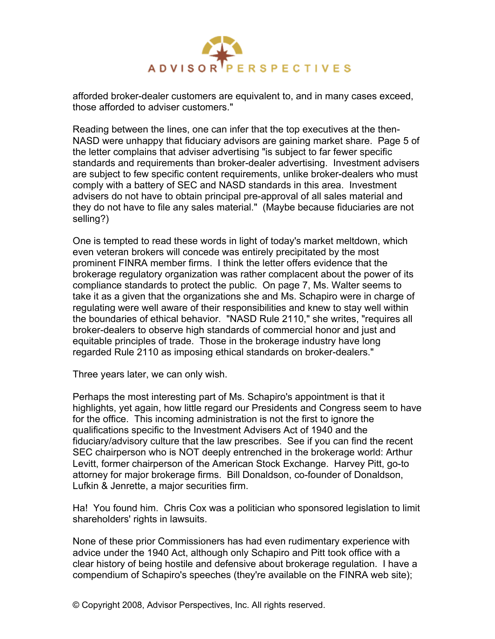

afforded broker-dealer customers are equivalent to, and in many cases exceed, those afforded to adviser customers."

Reading between the lines, one can infer that the top executives at the then-NASD were unhappy that fiduciary advisors are gaining market share. Page 5 of the letter complains that adviser advertising "is subject to far fewer specific standards and requirements than broker-dealer advertising. Investment advisers are subject to few specific content requirements, unlike broker-dealers who must comply with a battery of SEC and NASD standards in this area. Investment advisers do not have to obtain principal pre-approval of all sales material and they do not have to file any sales material." (Maybe because fiduciaries are not selling?)

One is tempted to read these words in light of today's market meltdown, which even veteran brokers will concede was entirely precipitated by the most prominent FINRA member firms. I think the letter offers evidence that the brokerage regulatory organization was rather complacent about the power of its compliance standards to protect the public. On page 7, Ms. Walter seems to take it as a given that the organizations she and Ms. Schapiro were in charge of regulating were well aware of their responsibilities and knew to stay well within the boundaries of ethical behavior. "NASD Rule 2110," she writes, "requires all broker-dealers to observe high standards of commercial honor and just and equitable principles of trade. Those in the brokerage industry have long regarded Rule 2110 as imposing ethical standards on broker-dealers."

Three years later, we can only wish.

Perhaps the most interesting part of Ms. Schapiro's appointment is that it highlights, yet again, how little regard our Presidents and Congress seem to have for the office. This incoming administration is not the first to ignore the qualifications specific to the Investment Advisers Act of 1940 and the fiduciary/advisory culture that the law prescribes. See if you can find the recent SEC chairperson who is NOT deeply entrenched in the brokerage world: Arthur Levitt, former chairperson of the American Stock Exchange. Harvey Pitt, go-to attorney for major brokerage firms. Bill Donaldson, co-founder of Donaldson, Lufkin & Jenrette, a major securities firm.

Ha! You found him. Chris Cox was a politician who sponsored legislation to limit shareholders' rights in lawsuits.

None of these prior Commissioners has had even rudimentary experience with advice under the 1940 Act, although only Schapiro and Pitt took office with a clear history of being hostile and defensive about brokerage regulation. I have a compendium of Schapiro's speeches (they're available on the FINRA web site);

© Copyright 2008, Advisor Perspectives, Inc. All rights reserved.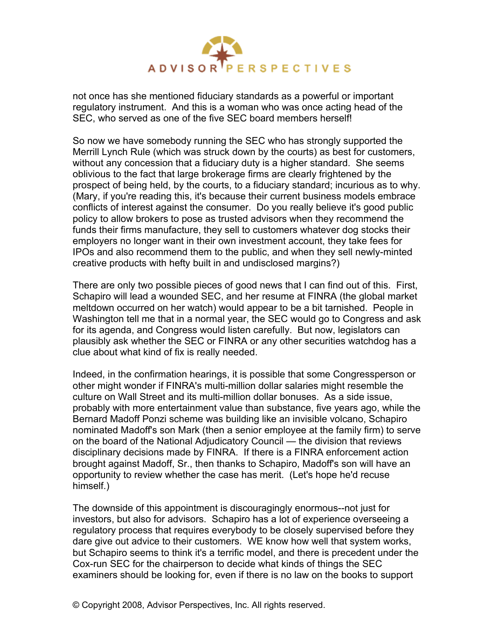

not once has she mentioned fiduciary standards as a powerful or important regulatory instrument. And this is a woman who was once acting head of the SEC, who served as one of the five SEC board members herself!

So now we have somebody running the SEC who has strongly supported the Merrill Lynch Rule (which was struck down by the courts) as best for customers, without any concession that a fiduciary duty is a higher standard. She seems oblivious to the fact that large brokerage firms are clearly frightened by the prospect of being held, by the courts, to a fiduciary standard; incurious as to why. (Mary, if you're reading this, it's because their current business models embrace conflicts of interest against the consumer. Do you really believe it's good public policy to allow brokers to pose as trusted advisors when they recommend the funds their firms manufacture, they sell to customers whatever dog stocks their employers no longer want in their own investment account, they take fees for IPOs and also recommend them to the public, and when they sell newly-minted creative products with hefty built in and undisclosed margins?)

There are only two possible pieces of good news that I can find out of this. First, Schapiro will lead a wounded SEC, and her resume at FINRA (the global market meltdown occurred on her watch) would appear to be a bit tarnished. People in Washington tell me that in a normal year, the SEC would go to Congress and ask for its agenda, and Congress would listen carefully. But now, legislators can plausibly ask whether the SEC or FINRA or any other securities watchdog has a clue about what kind of fix is really needed.

Indeed, in the confirmation hearings, it is possible that some Congressperson or other might wonder if FINRA's multi-million dollar salaries might resemble the culture on Wall Street and its multi-million dollar bonuses. As a side issue, probably with more entertainment value than substance, five years ago, while the Bernard Madoff Ponzi scheme was building like an invisible volcano, Schapiro nominated Madoff's son Mark (then a senior employee at the family firm) to serve on the board of the National Adjudicatory Council — the division that reviews disciplinary decisions made by FINRA. If there is a FINRA enforcement action brought against Madoff, Sr., then thanks to Schapiro, Madoff's son will have an opportunity to review whether the case has merit. (Let's hope he'd recuse himself.)

The downside of this appointment is discouragingly enormous--not just for investors, but also for advisors. Schapiro has a lot of experience overseeing a regulatory process that requires everybody to be closely supervised before they dare give out advice to their customers. WE know how well that system works, but Schapiro seems to think it's a terrific model, and there is precedent under the Cox-run SEC for the chairperson to decide what kinds of things the SEC examiners should be looking for, even if there is no law on the books to support

© Copyright 2008, Advisor Perspectives, Inc. All rights reserved.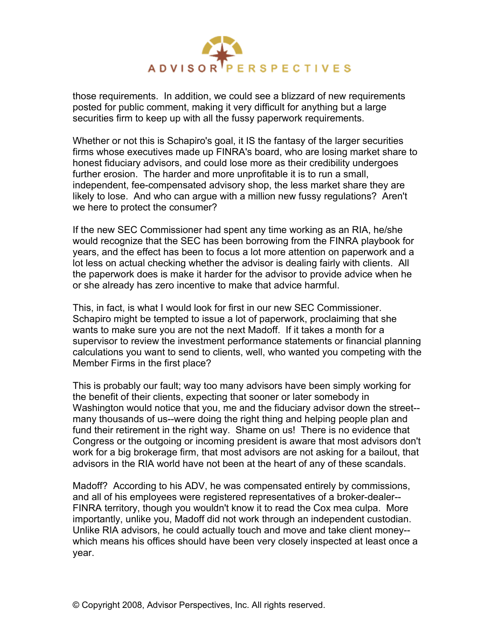

those requirements. In addition, we could see a blizzard of new requirements posted for public comment, making it very difficult for anything but a large securities firm to keep up with all the fussy paperwork requirements.

Whether or not this is Schapiro's goal, it IS the fantasy of the larger securities firms whose executives made up FINRA's board, who are losing market share to honest fiduciary advisors, and could lose more as their credibility undergoes further erosion. The harder and more unprofitable it is to run a small, independent, fee-compensated advisory shop, the less market share they are likely to lose. And who can argue with a million new fussy regulations? Aren't we here to protect the consumer?

If the new SEC Commissioner had spent any time working as an RIA, he/she would recognize that the SEC has been borrowing from the FINRA playbook for years, and the effect has been to focus a lot more attention on paperwork and a lot less on actual checking whether the advisor is dealing fairly with clients. All the paperwork does is make it harder for the advisor to provide advice when he or she already has zero incentive to make that advice harmful.

This, in fact, is what I would look for first in our new SEC Commissioner. Schapiro might be tempted to issue a lot of paperwork, proclaiming that she wants to make sure you are not the next Madoff. If it takes a month for a supervisor to review the investment performance statements or financial planning calculations you want to send to clients, well, who wanted you competing with the Member Firms in the first place?

This is probably our fault; way too many advisors have been simply working for the benefit of their clients, expecting that sooner or later somebody in Washington would notice that you, me and the fiduciary advisor down the street- many thousands of us--were doing the right thing and helping people plan and fund their retirement in the right way. Shame on us! There is no evidence that Congress or the outgoing or incoming president is aware that most advisors don't work for a big brokerage firm, that most advisors are not asking for a bailout, that advisors in the RIA world have not been at the heart of any of these scandals.

Madoff? According to his ADV, he was compensated entirely by commissions, and all of his employees were registered representatives of a broker-dealer-- FINRA territory, though you wouldn't know it to read the Cox mea culpa. More importantly, unlike you, Madoff did not work through an independent custodian. Unlike RIA advisors, he could actually touch and move and take client money- which means his offices should have been very closely inspected at least once a year.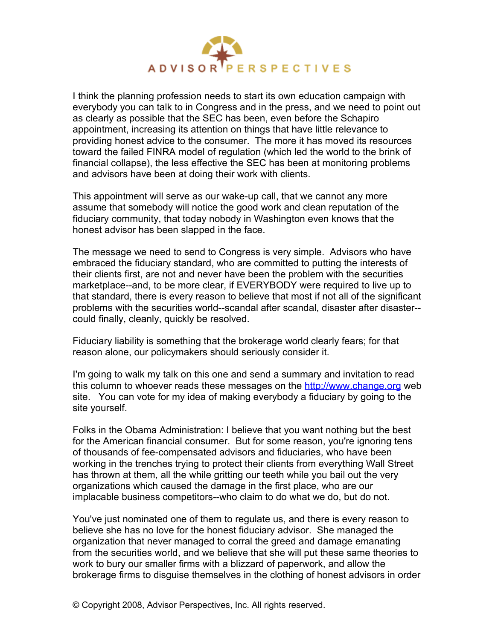

I think the planning profession needs to start its own education campaign with everybody you can talk to in Congress and in the press, and we need to point out as clearly as possible that the SEC has been, even before the Schapiro appointment, increasing its attention on things that have little relevance to providing honest advice to the consumer. The more it has moved its resources toward the failed FINRA model of regulation (which led the world to the brink of financial collapse), the less effective the SEC has been at monitoring problems and advisors have been at doing their work with clients.

This appointment will serve as our wake-up call, that we cannot any more assume that somebody will notice the good work and clean reputation of the fiduciary community, that today nobody in Washington even knows that the honest advisor has been slapped in the face.

The message we need to send to Congress is very simple. Advisors who have embraced the fiduciary standard, who are committed to putting the interests of their clients first, are not and never have been the problem with the securities marketplace--and, to be more clear, if EVERYBODY were required to live up to that standard, there is every reason to believe that most if not all of the significant problems with the securities world--scandal after scandal, disaster after disaster- could finally, cleanly, quickly be resolved.

Fiduciary liability is something that the brokerage world clearly fears; for that reason alone, our policymakers should seriously consider it.

I'm going to walk my talk on this one and send a summary and invitation to read this column to whoever reads these messages on the [http://www.change.org](http://www.change.org/) web site. You can vote for my idea of making everybody a fiduciary by going to the site yourself.

Folks in the Obama Administration: I believe that you want nothing but the best for the American financial consumer. But for some reason, you're ignoring tens of thousands of fee-compensated advisors and fiduciaries, who have been working in the trenches trying to protect their clients from everything Wall Street has thrown at them, all the while gritting our teeth while you bail out the very organizations which caused the damage in the first place, who are our implacable business competitors--who claim to do what we do, but do not.

You've just nominated one of them to regulate us, and there is every reason to believe she has no love for the honest fiduciary advisor. She managed the organization that never managed to corral the greed and damage emanating from the securities world, and we believe that she will put these same theories to work to bury our smaller firms with a blizzard of paperwork, and allow the brokerage firms to disguise themselves in the clothing of honest advisors in order